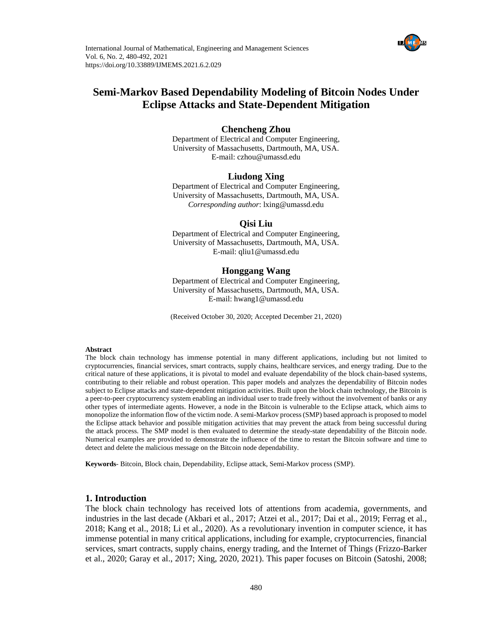

# **Semi-Markov Based Dependability Modeling of Bitcoin Nodes Under Eclipse Attacks and State-Dependent Mitigation**

### **Chencheng Zhou**

Department of Electrical and Computer Engineering, University of Massachusetts, Dartmouth, MA, USA. E-mail: czhou@umassd.edu

#### **Liudong Xing**

Department of Electrical and Computer Engineering, University of Massachusetts, Dartmouth, MA, USA. *Corresponding author*: lxing@umassd.edu

#### **Qisi Liu**

Department of Electrical and Computer Engineering, University of Massachusetts, Dartmouth, MA, USA. E-mail: qliu1@umassd.edu

# **Honggang Wang**

Department of Electrical and Computer Engineering, University of Massachusetts, Dartmouth, MA, USA. E-mail: hwang1@umassd.edu

(Received October 30, 2020; Accepted December 21, 2020)

#### **Abstract**

The block chain technology has immense potential in many different applications, including but not limited to cryptocurrencies, financial services, smart contracts, supply chains, healthcare services, and energy trading. Due to the critical nature of these applications, it is pivotal to model and evaluate dependability of the block chain-based systems, contributing to their reliable and robust operation. This paper models and analyzes the dependability of Bitcoin nodes subject to Eclipse attacks and state-dependent mitigation activities. Built upon the block chain technology, the Bitcoin is a peer-to-peer cryptocurrency system enabling an individual user to trade freely without the involvement of banks or any other types of intermediate agents. However, a node in the Bitcoin is vulnerable to the Eclipse attack, which aims to monopolize the information flow of the victim node. A semi-Markov process (SMP) based approach is proposed to model the Eclipse attack behavior and possible mitigation activities that may prevent the attack from being successful during the attack process. The SMP model is then evaluated to determine the steady-state dependability of the Bitcoin node. Numerical examples are provided to demonstrate the influence of the time to restart the Bitcoin software and time to detect and delete the malicious message on the Bitcoin node dependability.

**Keywords**- Bitcoin, Block chain, Dependability, Eclipse attack, Semi-Markov process (SMP).

#### **1. Introduction**

The block chain technology has received lots of attentions from academia, governments, and industries in the last decade (Akbari et al., 2017; Atzei et al., 2017; Dai et al., 2019; Ferrag et al., 2018; Kang et al., 2018; Li et al., 2020). As a revolutionary invention in computer science, it has immense potential in many critical applications, including for example, cryptocurrencies, financial services, smart contracts, supply chains, energy trading, and the Internet of Things (Frizzo-Barker et al., 2020; Garay et al., 2017; Xing, 2020, 2021). This paper focuses on Bitcoin (Satoshi, 2008;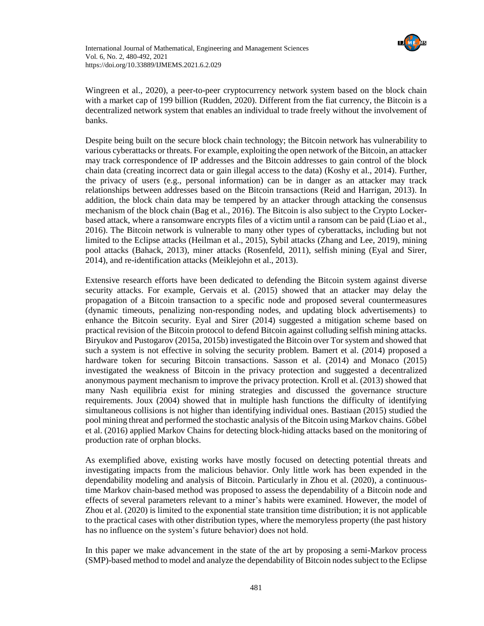

Wingreen et al., 2020), a peer-to-peer cryptocurrency network system based on the block chain with a market cap of 199 billion (Rudden, 2020). Different from the fiat currency, the Bitcoin is a decentralized network system that enables an individual to trade freely without the involvement of banks.

Despite being built on the secure block chain technology; the Bitcoin network has vulnerability to various cyberattacks or threats. For example, exploiting the open network of the Bitcoin, an attacker may track correspondence of IP addresses and the Bitcoin addresses to gain control of the block chain data (creating incorrect data or gain illegal access to the data) (Koshy et al., 2014). Further, the privacy of users (e.g., personal information) can be in danger as an attacker may track relationships between addresses based on the Bitcoin transactions (Reid and Harrigan, 2013). In addition, the block chain data may be tempered by an attacker through attacking the consensus mechanism of the block chain (Bag et al., 2016). The Bitcoin is also subject to the Crypto Lockerbased attack, where a ransomware encrypts files of a victim until a ransom can be paid (Liao et al., 2016). The Bitcoin network is vulnerable to many other types of cyberattacks, including but not limited to the Eclipse attacks (Heilman et al., 2015), Sybil attacks (Zhang and Lee, 2019), mining pool attacks (Bahack, 2013), miner attacks (Rosenfeld, 2011), selfish mining (Eyal and Sirer, 2014), and re-identification attacks (Meiklejohn et al., 2013).

Extensive research efforts have been dedicated to defending the Bitcoin system against diverse security attacks. For example, Gervais et al. (2015) showed that an attacker may delay the propagation of a Bitcoin transaction to a specific node and proposed several countermeasures (dynamic timeouts, penalizing non-responding nodes, and updating block advertisements) to enhance the Bitcoin security. Eyal and Sirer (2014) suggested a mitigation scheme based on practical revision of the Bitcoin protocol to defend Bitcoin against colluding selfish mining attacks. Biryukov and Pustogarov (2015a, 2015b) investigated the Bitcoin over Tor system and showed that such a system is not effective in solving the security problem. Bamert et al. (2014) proposed a hardware token for securing Bitcoin transactions. Sasson et al. (2014) and Monaco (2015) investigated the weakness of Bitcoin in the privacy protection and suggested a decentralized anonymous payment mechanism to improve the privacy protection. Kroll et al. (2013) showed that many Nash equilibria exist for mining strategies and discussed the governance structure requirements. Joux (2004) showed that in multiple hash functions the difficulty of identifying simultaneous collisions is not higher than identifying individual ones. Bastiaan (2015) studied the pool mining threat and performed the stochastic analysis of the Bitcoin using Markov chains. Göbel et al. (2016) applied Markov Chains for detecting block-hiding attacks based on the monitoring of production rate of orphan blocks.

As exemplified above, existing works have mostly focused on detecting potential threats and investigating impacts from the malicious behavior. Only little work has been expended in the dependability modeling and analysis of Bitcoin. Particularly in Zhou et al. (2020), a continuoustime Markov chain-based method was proposed to assess the dependability of a Bitcoin node and effects of several parameters relevant to a miner's habits were examined. However, the model of Zhou et al. (2020) is limited to the exponential state transition time distribution; it is not applicable to the practical cases with other distribution types, where the memoryless property (the past history has no influence on the system's future behavior) does not hold.

In this paper we make advancement in the state of the art by proposing a semi-Markov process (SMP)-based method to model and analyze the dependability of Bitcoin nodes subject to the Eclipse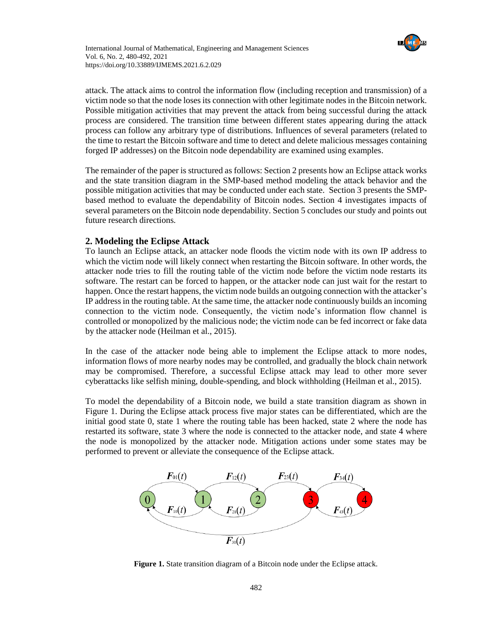

attack. The attack aims to control the information flow (including reception and transmission) of a victim node so that the node loses its connection with other legitimate nodes in the Bitcoin network. Possible mitigation activities that may prevent the attack from being successful during the attack process are considered. The transition time between different states appearing during the attack process can follow any arbitrary type of distributions. Influences of several parameters (related to the time to restart the Bitcoin software and time to detect and delete malicious messages containing forged IP addresses) on the Bitcoin node dependability are examined using examples.

The remainder of the paper is structured as follows: Section 2 presents how an Eclipse attack works and the state transition diagram in the SMP-based method modeling the attack behavior and the possible mitigation activities that may be conducted under each state. Section 3 presents the SMPbased method to evaluate the dependability of Bitcoin nodes. Section 4 investigates impacts of several parameters on the Bitcoin node dependability. Section 5 concludes our study and points out future research directions.

# **2. Modeling the Eclipse Attack**

To launch an Eclipse attack, an attacker node floods the victim node with its own IP address to which the victim node will likely connect when restarting the Bitcoin software. In other words, the attacker node tries to fill the routing table of the victim node before the victim node restarts its software. The restart can be forced to happen, or the attacker node can just wait for the restart to happen. Once the restart happens, the victim node builds an outgoing connection with the attacker's IP address in the routing table. At the same time, the attacker node continuously builds an incoming connection to the victim node. Consequently, the victim node's information flow channel is controlled or monopolized by the malicious node; the victim node can be fed incorrect or fake data by the attacker node (Heilman et al., 2015).

In the case of the attacker node being able to implement the Eclipse attack to more nodes, information flows of more nearby nodes may be controlled, and gradually the block chain network may be compromised. Therefore, a successful Eclipse attack may lead to other more sever cyberattacks like selfish mining, double-spending, and block withholding (Heilman et al., 2015).

To model the dependability of a Bitcoin node, we build a state transition diagram as shown in Figure 1. During the Eclipse attack process five major states can be differentiated, which are the initial good state 0, state 1 where the routing table has been hacked, state 2 where the node has restarted its software, state 3 where the node is connected to the attacker node, and state 4 where the node is monopolized by the attacker node. Mitigation actions under some states may be performed to prevent or alleviate the consequence of the Eclipse attack.



**Figure 1.** State transition diagram of a Bitcoin node under the Eclipse attack.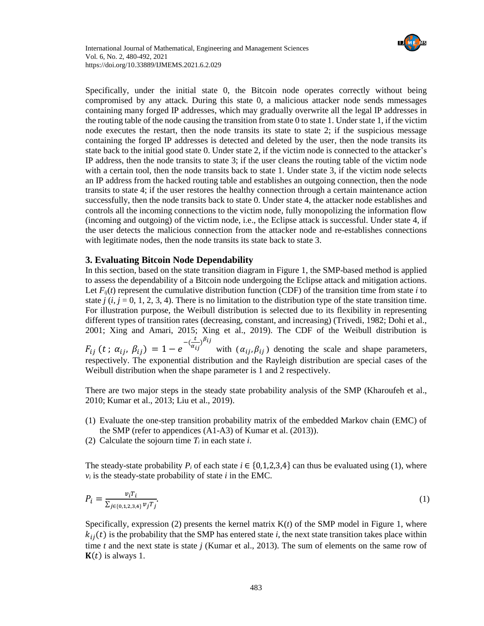Specifically, under the initial state 0, the Bitcoin node operates correctly without being compromised by any attack. During this state 0, a malicious attacker node sends mmessages containing many forged IP addresses, which may gradually overwrite all the legal IP addresses in the routing table of the node causing the transition from state 0 to state 1. Under state 1, if the victim node executes the restart, then the node transits its state to state 2; if the suspicious message containing the forged IP addresses is detected and deleted by the user, then the node transits its state back to the initial good state 0. Under state 2, if the victim node is connected to the attacker's IP address, then the node transits to state 3; if the user cleans the routing table of the victim node with a certain tool, then the node transits back to state 1. Under state 3, if the victim node selects an IP address from the hacked routing table and establishes an outgoing connection, then the node transits to state 4; if the user restores the healthy connection through a certain maintenance action successfully, then the node transits back to state 0. Under state 4, the attacker node establishes and controls all the incoming connections to the victim node, fully monopolizing the information flow (incoming and outgoing) of the victim node, i.e., the Eclipse attack is successful. Under state 4, if the user detects the malicious connection from the attacker node and re-establishes connections with legitimate nodes, then the node transits its state back to state 3.

# **3. Evaluating Bitcoin Node Dependability**

In this section, based on the state transition diagram in Figure 1, the SMP-based method is applied to assess the dependability of a Bitcoin node undergoing the Eclipse attack and mitigation actions. Let  $F_{ij}(t)$  represent the cumulative distribution function (CDF) of the transition time from state *i* to state  $j$  ( $i$ ,  $j = 0, 1, 2, 3, 4$ ). There is no limitation to the distribution type of the state transition time. For illustration purpose, the Weibull distribution is selected due to its flexibility in representing different types of transition rates (decreasing, constant, and increasing) (Trivedi, 1982; Dohi et al., 2001; Xing and Amari, 2015; Xing et al., 2019). The CDF of the Weibull distribution is  $F_{ij} (t; \alpha_{ij}, \beta_{ij}) = 1 - e^{-(\frac{t}{\alpha_{ij}})}$  $(\frac{t}{\alpha_{ij}})^{\beta_{ij}}$ with  $(\alpha_{ij}, \beta_{ij})$  denoting the scale and shape parameters, respectively. The exponential distribution and the Rayleigh distribution are special cases of the Weibull distribution when the shape parameter is 1 and 2 respectively.

There are two major steps in the steady state probability analysis of the SMP (Kharoufeh et al., 2010; Kumar et al., 2013; Liu et al., 2019).

- (1) Evaluate the one-step transition probability matrix of the embedded Markov chain (EMC) of the SMP (refer to appendices (A1-A3) of Kumar et al. (2013)).
- (2) Calculate the sojourn time  $T_i$  in each state *i*.

The steady-state probability  $P_i$  of each state  $i \in \{0,1,2,3,4\}$  can thus be evaluated using (1), where  $v_i$  is the steady-state probability of state *i* in the EMC.

$$
P_i = \frac{v_i T_i}{\sum_{j \in \{0, 1, 2, 3, 4\}} v_j T_j}.\tag{1}
$$

Specifically, expression  $(2)$  presents the kernel matrix  $K(t)$  of the SMP model in Figure 1, where  $k_{ij}(t)$  is the probability that the SMP has entered state *i*, the next state transition takes place within time  $t$  and the next state is state  $j$  (Kumar et al., 2013). The sum of elements on the same row of  **is always 1.**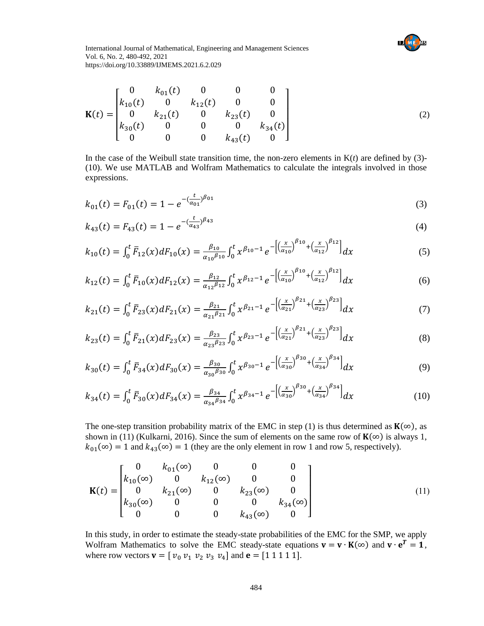

$$
\mathbf{K}(t) = \begin{bmatrix} 0 & k_{01}(t) & 0 & 0 & 0 \\ k_{10}(t) & 0 & k_{12}(t) & 0 & 0 \\ 0 & k_{21}(t) & 0 & k_{23}(t) & 0 \\ k_{30}(t) & 0 & 0 & 0 & k_{34}(t) \\ 0 & 0 & 0 & k_{43}(t) & 0 \end{bmatrix}
$$
(2)

In the case of the Weibull state transition time, the non-zero elements in  $K(t)$  are defined by (3)-(10). We use MATLAB and Wolfram Mathematics to calculate the integrals involved in those expressions.

$$
k_{01}(t) = F_{01}(t) = 1 - e^{-(\frac{t}{\alpha_{01}})^{\beta_{01}}} \tag{3}
$$

$$
k_{43}(t) = F_{43}(t) = 1 - e^{-(\frac{t}{\alpha_{43}})^{\beta_{43}}} \tag{4}
$$

$$
k_{10}(t) = \int_0^t \bar{F}_{12}(x) dF_{10}(x) = \frac{\beta_{10}}{\alpha_{10}\beta_{10}} \int_0^t x^{\beta_{10}-1} e^{-\left[\left(\frac{x}{\alpha_{10}}\right)^{\beta_{10}} + \left(\frac{x}{\alpha_{12}}\right)^{\beta_{12}}\right]} dx
$$
 (5)

$$
k_{12}(t) = \int_0^t \bar{F}_{10}(x) dF_{12}(x) = \frac{\beta_{12}}{\alpha_{12}\beta_{12}} \int_0^t x^{\beta_{12}-1} e^{-\left[\left(\frac{x}{\alpha_{10}}\right)^{\beta_{10}} + \left(\frac{x}{\alpha_{12}}\right)^{\beta_{12}}\right]} dx
$$
(6)

$$
k_{21}(t) = \int_0^t \bar{F}_{23}(x) dF_{21}(x) = \frac{\beta_{21}}{\alpha_{21}\beta_{21}} \int_0^t x^{\beta_{21}-1} e^{-\left[\left(\frac{x}{\alpha_{21}}\right)^{\beta_{21}} + \left(\frac{x}{\alpha_{23}}\right)^{\beta_{23}}\right]} dx
$$
 (7)

$$
k_{23}(t) = \int_0^t \bar{F}_{21}(x) dF_{23}(x) = \frac{\beta_{23}}{\alpha_{23}\beta_{23}} \int_0^t x^{\beta_{23}-1} e^{-\left[\left(\frac{x}{\alpha_{21}}\right)^{\beta_{21}} + \left(\frac{x}{\alpha_{23}}\right)^{\beta_{23}}\right]} dx
$$
(8)

$$
k_{30}(t) = \int_0^t \bar{F}_{34}(x) dF_{30}(x) = \frac{\beta_{30}}{\alpha_{30}\beta_{30}} \int_0^t x^{\beta_{30}-1} e^{-\left[\left(\frac{x}{\alpha_{30}}\right)^{\beta_{30}} + \left(\frac{x}{\alpha_{34}}\right)^{\beta_{34}}\right]} dx
$$
(9)

$$
k_{34}(t) = \int_0^t \bar{F}_{30}(x) dF_{34}(x) = \frac{\beta_{34}}{\alpha_{34}\beta_{34}} \int_0^t x^{\beta_{34}-1} e^{-\left[\left(\frac{x}{\alpha_{30}}\right)^{\beta_{30}} + \left(\frac{x}{\alpha_{34}}\right)^{\beta_{34}}\right]} dx
$$
 (10)

The one-step transition probability matrix of the EMC in step (1) is thus determined as  $K(\infty)$ , as shown in (11) (Kulkarni, 2016). Since the sum of elements on the same row of  $K(\infty)$  is always 1,  $k_{01}(\infty) = 1$  and  $k_{43}(\infty) = 1$  (they are the only element in row 1 and row 5, respectively).

$$
\mathbf{K}(t) = \begin{bmatrix} 0 & k_{01}(\infty) & 0 & 0 & 0 \\ k_{10}(\infty) & 0 & k_{12}(\infty) & 0 & 0 \\ 0 & k_{21}(\infty) & 0 & k_{23}(\infty) & 0 \\ k_{30}(\infty) & 0 & 0 & 0 & k_{34}(\infty) \\ 0 & 0 & 0 & k_{43}(\infty) & 0 \end{bmatrix}
$$
(11)

In this study, in order to estimate the steady-state probabilities of the EMC for the SMP, we apply Wolfram Mathematics to solve the EMC steady-state equations  $\mathbf{v} = \mathbf{v} \cdot \mathbf{K}(\infty)$  and  $\mathbf{v} \cdot \mathbf{e}^T = \mathbf{1}$ , where row vectors  $\mathbf{v} = [v_0 \, v_1 \, v_2 \, v_3 \, v_4]$  and  $\mathbf{e} = [1 \, 1 \, 1 \, 1 \, 1].$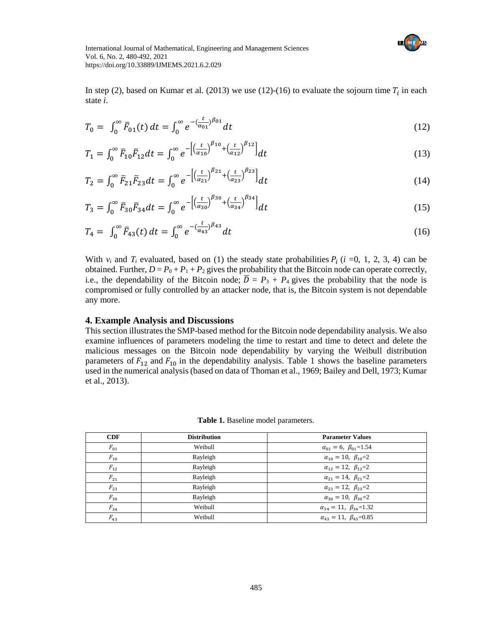

In step (2), based on Kumar et al. (2013) we use (12)-(16) to evaluate the sojourn time  $T_i$  in each state *i*.

$$
T_0 = \int_0^\infty \bar{F}_{01}(t) \, dt = \int_0^\infty e^{-\left(\frac{t}{\alpha_{01}}\right)^{\beta_{01}}} dt \tag{12}
$$

$$
T_1 = \int_0^\infty \bar{F}_{10} \bar{F}_{12} dt = \int_0^\infty e^{-\left[\left(\frac{t}{\alpha_{10}}\right)^{\beta_{10}} + \left(\frac{t}{\alpha_{12}}\right)^{\beta_{12}}\right]} dt \tag{13}
$$

$$
T_2 = \int_0^\infty \bar{F}_{21} \bar{F}_{23} dt = \int_0^\infty e^{-\left[\left(\frac{t}{\alpha_{21}}\right)^{\beta_{21}} + \left(\frac{t}{\alpha_{23}}\right)^{\beta_{23}}\right]} dt \tag{14}
$$

$$
T_3 = \int_0^\infty \bar{F}_{30} \bar{F}_{34} dt = \int_0^\infty e^{-\left[\left(\frac{t}{\alpha_{30}}\right)^{\beta_{30}} + \left(\frac{t}{\alpha_{34}}\right)^{\beta_{34}}\right]} dt \tag{15}
$$

$$
T_4 = \int_0^\infty \bar{F}_{43}(t) \, dt = \int_0^\infty e^{-\left(\frac{t}{\alpha_{43}}\right)^{\beta_{43}}} dt \tag{16}
$$

With  $v_i$  and  $T_i$  evaluated, based on (1) the steady state probabilities  $P_i$  ( $i = 0, 1, 2, 3, 4$ ) can be obtained. Further,  $D = P_0 + P_1 + P_2$  gives the probability that the Bitcoin node can operate correctly, i.e., the dependability of the Bitcoin node;  $\overline{D} = P_3 + P_4$  gives the probability that the node is compromised or fully controlled by an attacker node, that is, the Bitcoin system is not dependable any more.

#### **4. Example Analysis and Discussions**

This section illustrates the SMP-based method for the Bitcoin node dependability analysis. We also examine influences of parameters modeling the time to restart and time to detect and delete the malicious messages on the Bitcoin node dependability by varying the Weibull distribution parameters of  $F_{12}$  and  $F_{10}$  in the dependability analysis. Table 1 shows the baseline parameters used in the numerical analysis (based on data of Thoman et al., 1969; Bailey and Dell, 1973; Kumar et al., 2013).

**Table 1.** Baseline model parameters.

| CDF      | <b>Distribution</b> | <b>Parameter Values</b>                 |
|----------|---------------------|-----------------------------------------|
| $F_{01}$ | Weibull             | $\alpha_{01} = 6, \ \beta_{01} = 1.54$  |
| $F_{10}$ | Rayleigh            | $\alpha_{10} = 10, \ \beta_{10} = 2$    |
| $F_{12}$ | Rayleigh            | $\alpha_{12} = 12, \ \beta_{12} = 2$    |
| $F_{21}$ | Rayleigh            | $\alpha_{21} = 14, \ \beta_{21} = 2$    |
| $F_{23}$ | Rayleigh            | $\alpha_{23} = 12, \ \beta_{23} = 2$    |
| $F_{30}$ | Rayleigh            | $\alpha_{30} = 10, \ \beta_{30} = 2$    |
| $F_{34}$ | Weibull             | $\alpha_{34} = 11, \ \beta_{34} = 1.32$ |
| $F_{43}$ | Weibull             | $\alpha_{43} = 11, \ \beta_{43} = 0.85$ |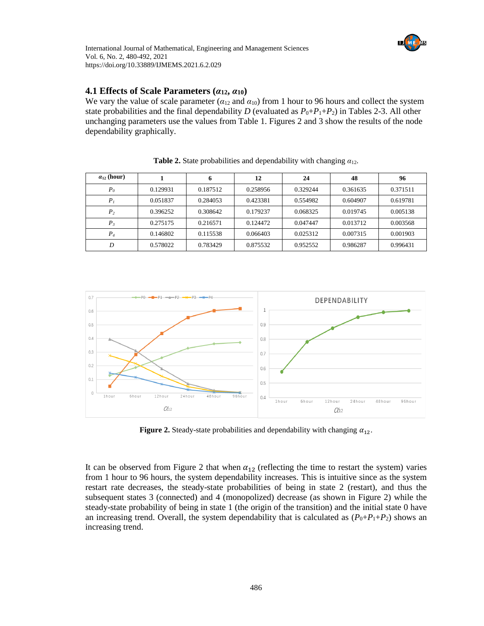

# **4.1 Effects of Scale Parameters (***α***12,** *α***10)**

We vary the value of scale parameter ( $\alpha_{12}$  and  $\alpha_{10}$ ) from 1 hour to 96 hours and collect the system state probabilities and the final dependability *D* (evaluated as  $P_0+P_1+P_2$ ) in Tables 2-3. All other unchanging parameters use the values from Table 1. Figures 2 and 3 show the results of the node dependability graphically.

| $a_{12}$ (hour) |          | 6        | 12       | 24       | 48       | 96       |
|-----------------|----------|----------|----------|----------|----------|----------|
| P <sub>o</sub>  | 0.129931 | 0.187512 | 0.258956 | 0.329244 | 0.361635 | 0.371511 |
| P <sub>1</sub>  | 0.051837 | 0.284053 | 0.423381 | 0.554982 | 0.604907 | 0.619781 |
| P <sub>2</sub>  | 0.396252 | 0.308642 | 0.179237 | 0.068325 | 0.019745 | 0.005138 |
| $P_{3}$         | 0.275175 | 0.216571 | 0.124472 | 0.047447 | 0.013712 | 0.003568 |
| $P_4$           | 0.146802 | 0.115538 | 0.066403 | 0.025312 | 0.007315 | 0.001903 |
| D               | 0.578022 | 0.783429 | 0.875532 | 0.952552 | 0.986287 | 0.996431 |

**Table 2.** State probabilities and dependability with changing *α*12.



**Figure 2.** Steady-state probabilities and dependability with changing  $\alpha_{12}$ .

It can be observed from Figure 2 that when  $\alpha_{12}$  (reflecting the time to restart the system) varies from 1 hour to 96 hours, the system dependability increases. This is intuitive since as the system restart rate decreases, the steady-state probabilities of being in state 2 (restart), and thus the subsequent states 3 (connected) and 4 (monopolized) decrease (as shown in Figure 2) while the steady-state probability of being in state 1 (the origin of the transition) and the initial state 0 have an increasing trend. Overall, the system dependability that is calculated as  $(P_0+P_1+P_2)$  shows an increasing trend.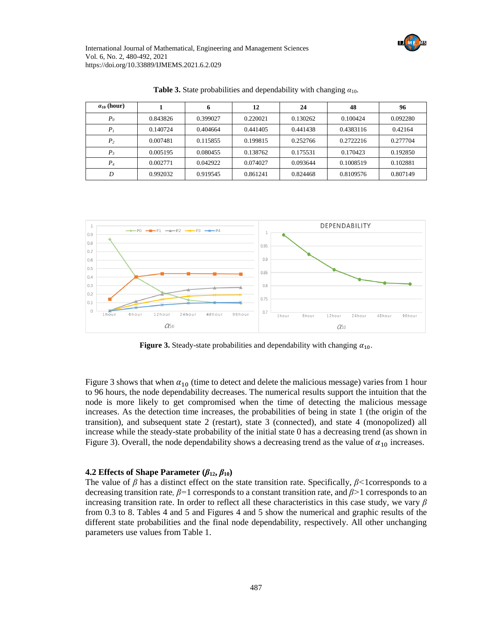

| $a_{10}$ (hour) |          |          | 12       | 24       | 48        | 96       |
|-----------------|----------|----------|----------|----------|-----------|----------|
| P <sub>0</sub>  | 0.843826 | 0.399027 | 0.220021 | 0.130262 | 0.100424  | 0.092280 |
| P <sub>I</sub>  | 0.140724 | 0.404664 | 0.441405 | 0.441438 | 0.4383116 | 0.42164  |
| P <sub>2</sub>  | 0.007481 | 0.115855 | 0.199815 | 0.252766 | 0.2722216 | 0.277704 |
| $P_3$           | 0.005195 | 0.080455 | 0.138762 | 0.175531 | 0.170423  | 0.192850 |
| $P_4$           | 0.002771 | 0.042922 | 0.074027 | 0.093644 | 0.1008519 | 0.102881 |
| D               | 0.992032 | 0.919545 | 0.861241 | 0.824468 | 0.8109576 | 0.807149 |

**Table 3.** State probabilities and dependability with changing  $\alpha_{10}$ .



**Figure 3.** Steady-state probabilities and dependability with changing  $\alpha_{10}$ .

Figure 3 shows that when  $\alpha_{10}$  (time to detect and delete the malicious message) varies from 1 hour to 96 hours, the node dependability decreases. The numerical results support the intuition that the node is more likely to get compromised when the time of detecting the malicious message increases. As the detection time increases, the probabilities of being in state 1 (the origin of the transition), and subsequent state 2 (restart), state 3 (connected), and state 4 (monopolized) all increase while the steady-state probability of the initial state 0 has a decreasing trend (as shown in Figure 3). Overall, the node dependability shows a decreasing trend as the value of  $\alpha_{10}$  increases.

# **4.2 Effects of Shape Parameter**  $(\beta_{12}, \beta_{10})$

The value of *β* has a distinct effect on the state transition rate. Specifically, *β<*1corresponds to a decreasing transition rate*, β=*1 corresponds to a constant transition rate, and *β>*1 corresponds to an increasing transition rate. In order to reflect all these characteristics in this case study, we vary *β*  from 0.3 to 8. Tables 4 and 5 and Figures 4 and 5 show the numerical and graphic results of the different state probabilities and the final node dependability, respectively. All other unchanging parameters use values from Table 1.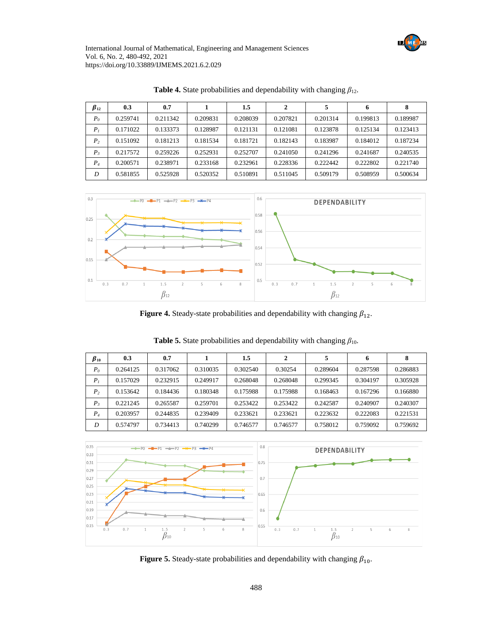

| $\beta_{12}$   | 0.3      | 0.7      |          | 1.5      | 2        |          | 6        |          |
|----------------|----------|----------|----------|----------|----------|----------|----------|----------|
| P <sub>0</sub> | 0.259741 | 0.211342 | 0.209831 | 0.208039 | 0.207821 | 0.201314 | 0.199813 | 0.189987 |
| P <sub>1</sub> | 0.171022 | 0.133373 | 0.128987 | 0.121131 | 0.121081 | 0.123878 | 0.125134 | 0.123413 |
| P <sub>2</sub> | 0.151092 | 0.181213 | 0.181534 | 0.181721 | 0.182143 | 0.183987 | 0.184012 | 0.187234 |
| $P_3$          | 0.217572 | 0.259226 | 0.252931 | 0.252707 | 0.241050 | 0.241296 | 0.241687 | 0.240535 |
| $P_4$          | 0.200571 | 0.238971 | 0.233168 | 0.232961 | 0.228336 | 0.222442 | 0.222802 | 0.221740 |
| D              | 0.581855 | 0.525928 | 0.520352 | 0.510891 | 0.511045 | 0.509179 | 0.508959 | 0.500634 |

**Table 4.** State probabilities and dependability with changing  $\beta_{12}$ .



**Figure 4.** Steady-state probabilities and dependability with changing  $\beta_{12}$ .

| $\beta_{10}$   | 0.3      | 0.7      |          | 1.5      | 2        |          | 6        | 8        |
|----------------|----------|----------|----------|----------|----------|----------|----------|----------|
| P <sub>0</sub> | 0.264125 | 0.317062 | 0.310035 | 0.302540 | 0.30254  | 0.289604 | 0.287598 | 0.286883 |
| P <sub>I</sub> | 0.157029 | 0.232915 | 0.249917 | 0.268048 | 0.268048 | 0.299345 | 0.304197 | 0.305928 |
| P <sub>2</sub> | 0.153642 | 0.184436 | 0.180348 | 0.175988 | 0.175988 | 0.168463 | 0.167296 | 0.166880 |
| $P_3$          | 0.221245 | 0.265587 | 0.259701 | 0.253422 | 0.253422 | 0.242587 | 0.240907 | 0.240307 |
| $P_4$          | 0.203957 | 0.244835 | 0.239409 | 0.233621 | 0.233621 | 0.223632 | 0.222083 | 0.221531 |
| D              | 0.574797 | 0.734413 | 0.740299 | 0.746577 | 0.746577 | 0.758012 | 0.759092 | 0.759692 |

**Table 5.** State probabilities and dependability with changing *β*10.



**Figure 5.** Steady-state probabilities and dependability with changing  $\beta_{10}$ .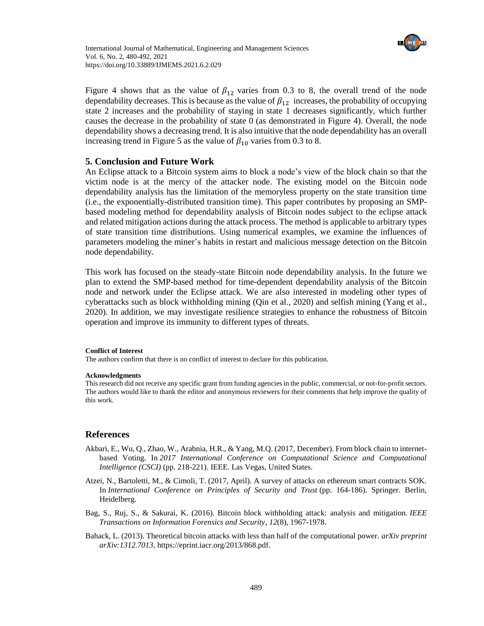

Figure 4 shows that as the value of  $\beta_{12}$  varies from 0.3 to 8, the overall trend of the node dependability decreases. This is because as the value of  $\beta_{12}$  increases, the probability of occupying state 2 increases and the probability of staying in state 1 decreases significantly, which further causes the decrease in the probability of state 0 (as demonstrated in Figure 4). Overall, the node dependability shows a decreasing trend. It is also intuitive that the node dependability has an overall increasing trend in Figure 5 as the value of  $\beta_{10}$  varies from 0.3 to 8.

# **5. Conclusion and Future Work**

An Eclipse attack to a Bitcoin system aims to block a node's view of the block chain so that the victim node is at the mercy of the attacker node. The existing model on the Bitcoin node dependability analysis has the limitation of the memoryless property on the state transition time (i.e., the exponentially-distributed transition time). This paper contributes by proposing an SMPbased modeling method for dependability analysis of Bitcoin nodes subject to the eclipse attack and related mitigation actions during the attack process. The method is applicable to arbitrary types of state transition time distributions. Using numerical examples, we examine the influences of parameters modeling the miner's habits in restart and malicious message detection on the Bitcoin node dependability.

This work has focused on the steady-state Bitcoin node dependability analysis. In the future we plan to extend the SMP-based method for time-dependent dependability analysis of the Bitcoin node and network under the Eclipse attack. We are also interested in modeling other types of cyberattacks such as block withholding mining (Qin et al., 2020) and selfish mining (Yang et al., 2020). In addition, we may investigate resilience strategies to enhance the robustness of Bitcoin operation and improve its immunity to different types of threats.

# **Conflict of Interest**

The authors confirm that there is no conflict of interest to declare for this publication.

#### **Acknowledgments**

This research did not receive any specific grant from funding agencies in the public, commercial, or not-for-profit sectors. The authors would like to thank the editor and anonymous reviewers for their comments that help improve the quality of this work.

# **References**

- Akbari, E., Wu, Q., Zhao, W., Arabnia, H.R., & Yang, M.Q. (2017, December). From block chain to internetbased Voting. In *2017 International Conference on Computational Science and Computational Intelligence (CSCI)* (pp. 218-221). IEEE. Las Vegas, United States.
- Atzei, N., Bartoletti, M., & Cimoli, T. (2017, April). A survey of attacks on ethereum smart contracts SOK. In *International Conference on Principles of Security and Trust* (pp. 164-186). Springer. Berlin, Heidelberg.
- Bag, S., Ruj, S., & Sakurai, K. (2016). Bitcoin block withholding attack: analysis and mitigation. *IEEE Transactions on Information Forensics and Security*, *12*(8), 1967-1978.
- Bahack, L. (2013). Theoretical bitcoin attacks with less than half of the computational power. *arXiv preprint arXiv:1312.7013*, https://eprint.iacr.org/2013/868.pdf.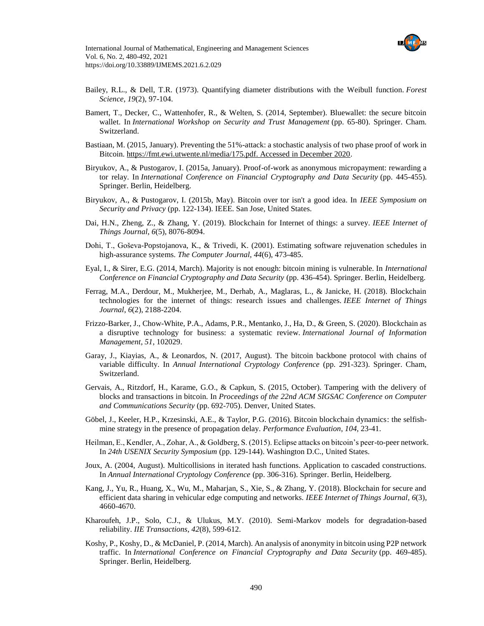

- Bailey, R.L., & Dell, T.R. (1973). Quantifying diameter distributions with the Weibull function. *Forest Science*, *19*(2), 97-104.
- Bamert, T., Decker, C., Wattenhofer, R., & Welten, S. (2014, September). Bluewallet: the secure bitcoin wallet. In *International Workshop on Security and Trust Management* (pp. 65-80). Springer. Cham. Switzerland.
- Bastiaan, M. (2015, January). Preventing the 51%-attack: a stochastic analysis of two phase proof of work in Bitcoin. [https://fmt.ewi.utwente.nl/media/175.pdf. Accessed in December 2020.](https://fmt.ewi.utwente.nl/media/175.pdf.%20Accessed%20in%20December%202020)
- Biryukov, A., & Pustogarov, I. (2015a, January). Proof-of-work as anonymous micropayment: rewarding a tor relay. In *International Conference on Financial Cryptography and Data Security* (pp. 445-455). Springer. Berlin, Heidelberg.
- Biryukov, A., & Pustogarov, I. (2015b, May). Bitcoin over tor isn't a good idea. In *IEEE Symposium on Security and Privacy* (pp. 122-134). IEEE. San Jose, United States.
- Dai, H.N., Zheng, Z., & Zhang, Y. (2019). Blockchain for Internet of things: a survey. *IEEE Internet of Things Journal*, *6*(5), 8076-8094.
- Dohi, T., Goševa-Popstojanova, K., & Trivedi, K. (2001). Estimating software rejuvenation schedules in high-assurance systems. *The Computer Journal*, *44*(6), 473-485.
- Eyal, I., & Sirer, E.G. (2014, March). Majority is not enough: bitcoin mining is vulnerable. In *International Conference on Financial Cryptography and Data Security* (pp. 436-454). Springer. Berlin, Heidelberg.
- Ferrag, M.A., Derdour, M., Mukherjee, M., Derhab, A., Maglaras, L., & Janicke, H. (2018). Blockchain technologies for the internet of things: research issues and challenges. *IEEE Internet of Things Journal*, *6*(2), 2188-2204.
- Frizzo-Barker, J., Chow-White, P.A., Adams, P.R., Mentanko, J., Ha, D., & Green, S. (2020). Blockchain as a disruptive technology for business: a systematic review. *International Journal of Information Management*, *51*, 102029.
- Garay, J., Kiayias, A., & Leonardos, N. (2017, August). The bitcoin backbone protocol with chains of variable difficulty. In *Annual International Cryptology Conference* (pp. 291-323). Springer. Cham, Switzerland.
- Gervais, A., Ritzdorf, H., Karame, G.O., & Capkun, S. (2015, October). Tampering with the delivery of blocks and transactions in bitcoin. In *Proceedings of the 22nd ACM SIGSAC Conference on Computer and Communications Security* (pp. 692-705). Denver, United States.
- Göbel, J., Keeler, H.P., Krzesinski, A.E., & Taylor, P.G. (2016). Bitcoin blockchain dynamics: the selfishmine strategy in the presence of propagation delay. *Performance Evaluation*, *104*, 23-41.
- Heilman, E., Kendler, A., Zohar, A., & Goldberg, S. (2015). Eclipse attacks on bitcoin's peer-to-peer network. In *24th USENIX Security Symposium* (pp. 129-144). Washington D.C., United States.
- Joux, A. (2004, August). Multicollisions in iterated hash functions. Application to cascaded constructions. In *Annual International Cryptology Conference* (pp. 306-316). Springer. Berlin, Heidelberg.
- Kang, J., Yu, R., Huang, X., Wu, M., Maharjan, S., Xie, S., & Zhang, Y. (2018). Blockchain for secure and efficient data sharing in vehicular edge computing and networks. *IEEE Internet of Things Journal*, *6*(3), 4660-4670.
- Kharoufeh, J.P., Solo, C.J., & Ulukus, M.Y. (2010). Semi-Markov models for degradation-based reliability. *IIE Transactions*, *42*(8), 599-612.
- Koshy, P., Koshy, D., & McDaniel, P. (2014, March). An analysis of anonymity in bitcoin using P2P network traffic. In *International Conference on Financial Cryptography and Data Security* (pp. 469-485). Springer. Berlin, Heidelberg.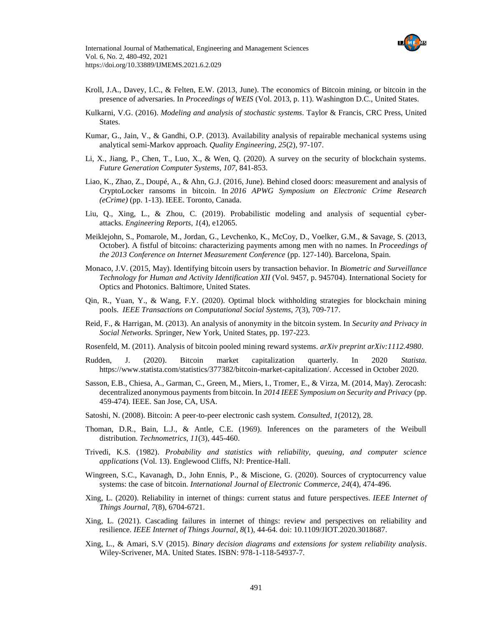- Kroll, J.A., Davey, I.C., & Felten, E.W. (2013, June). The economics of Bitcoin mining, or bitcoin in the presence of adversaries. In *Proceedings of WEIS* (Vol. 2013, p. 11). Washington D.C., United States.
- Kulkarni, V.G. (2016). *Modeling and analysis of stochastic systems*. Taylor & Francis, CRC Press, United States.
- Kumar, G., Jain, V., & Gandhi, O.P. (2013). Availability analysis of repairable mechanical systems using analytical semi-Markov approach. *Quality Engineering*, *25*(2), 97-107.
- Li, X., Jiang, P., Chen, T., Luo, X., & Wen, Q. (2020). A survey on the security of blockchain systems. *Future Generation Computer Systems*, *107*, 841-853.
- Liao, K., Zhao, Z., Doupé, A., & Ahn, G.J. (2016, June). Behind closed doors: measurement and analysis of CryptoLocker ransoms in bitcoin. In *2016 APWG Symposium on Electronic Crime Research (eCrime)* (pp. 1-13). IEEE. Toronto, Canada.
- Liu, Q., Xing, L., & Zhou, C. (2019). Probabilistic modeling and analysis of sequential cyber‐ attacks. *Engineering Reports*, *1*(4), e12065.
- Meiklejohn, S., Pomarole, M., Jordan, G., Levchenko, K., McCoy, D., Voelker, G.M., & Savage, S. (2013, October). A fistful of bitcoins: characterizing payments among men with no names. In *Proceedings of the 2013 Conference on Internet Measurement Conference* (pp. 127-140). Barcelona, Spain.
- Monaco, J.V. (2015, May). Identifying bitcoin users by transaction behavior. In *Biometric and Surveillance Technology for Human and Activity Identification XII* (Vol. 9457, p. 945704). International Society for Optics and Photonics. Baltimore, United States.
- Qin, R., Yuan, Y., & Wang, F.Y. (2020). Optimal block withholding strategies for blockchain mining pools. *IEEE Transactions on Computational Social Systems*, *7*(3), 709-717.
- Reid, F., & Harrigan, M. (2013). An analysis of anonymity in the bitcoin system. In *Security and Privacy in Social Networks.* Springer, New York, United States, pp. 197-223.
- Rosenfeld, M. (2011). Analysis of bitcoin pooled mining reward systems. *arXiv preprint arXiv:1112.4980*.
- Rudden, J. (2020). Bitcoin market capitalization quarterly. In 2020 *Statista.* https://www.statista.com/statistics/377382/bitcoin-market-capitalization/. Accessed in October 2020.
- Sasson, E.B., Chiesa, A., Garman, C., Green, M., Miers, I., Tromer, E., & Virza, M. (2014, May). Zerocash: decentralized anonymous payments from bitcoin. In *2014 IEEE Symposium on Security and Privacy* (pp. 459-474). IEEE. San Jose, CA, USA.
- Satoshi, N. (2008). Bitcoin: A peer-to-peer electronic cash system. *Consulted*, *1*(2012), 28.
- Thoman, D.R., Bain, L.J., & Antle, C.E. (1969). Inferences on the parameters of the Weibull distribution. *Technometrics*, *11*(3), 445-460.
- Trivedi, K.S. (1982). *Probability and statistics with reliability, queuing, and computer science applications* (Vol. 13). Englewood Cliffs, NJ: Prentice-Hall.
- Wingreen, S.C., Kavanagh, D., John Ennis, P., & Miscione, G. (2020). Sources of cryptocurrency value systems: the case of bitcoin. *International Journal of Electronic Commerce*, *24*(4), 474-496.
- Xing, L. (2020). Reliability in internet of things: current status and future perspectives. *IEEE Internet of Things Journal*, *7*(8), 6704-6721.
- Xing, L. (2021). Cascading failures in internet of things: review and perspectives on reliability and resilience. *IEEE Internet of Things Journal*, *8*(1), 44-64. doi: 10.1109/JIOT.2020.3018687.
- Xing, L., & Amari, S.V (2015). *Binary decision diagrams and extensions for system reliability analysis*. Wiley-Scrivener, MA. United States. ISBN: 978-1-118-54937-7.